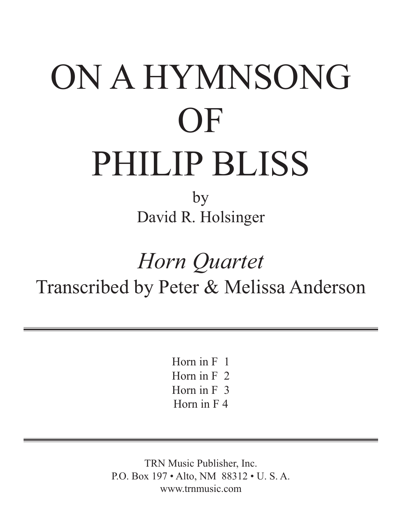## ON A HYMNSONG OF PHILIP BLISS

by David R. Holsinger

## *Horn Quartet* Transcribed by Peter & Melissa Anderson

Horn in F 1 Horn in F 2 Horn in F 3 Horn in F 4

TRN Music Publisher, Inc. P.O. Box 197 • Alto, NM 88312 • U. S. A. www.trnmusic.com